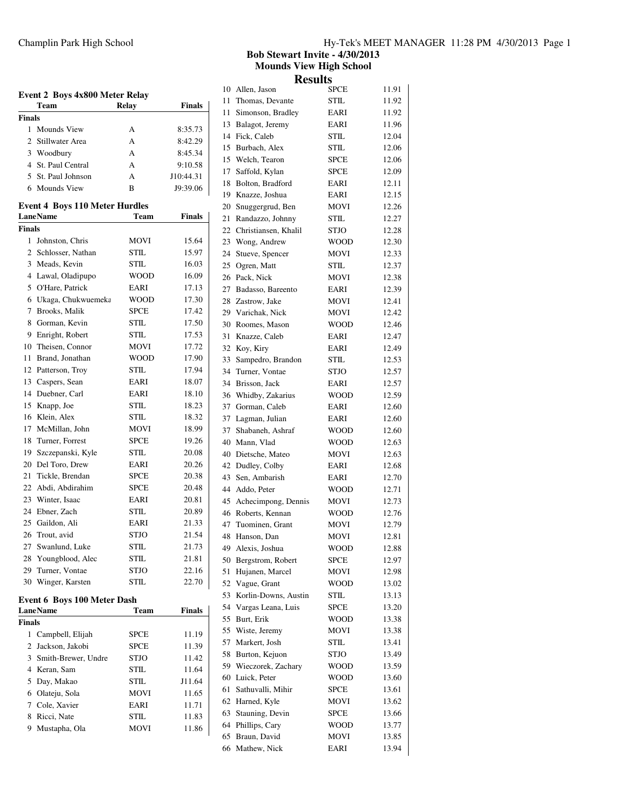| <b>Event 2 Boys 4x800 Meter Relay</b><br>Team<br>Relay<br><b>Finals</b> |                                                |             |               |  |
|-------------------------------------------------------------------------|------------------------------------------------|-------------|---------------|--|
|                                                                         |                                                |             |               |  |
| <b>Finals</b>                                                           |                                                |             |               |  |
|                                                                         | 1 Mounds View                                  | А           | 8:35.73       |  |
|                                                                         | 2 Stillwater Area                              | A           | 8:42.29       |  |
|                                                                         | 3 Woodbury                                     | A           | 8:45.34       |  |
|                                                                         | 4 St. Paul Central                             | A           | 9:10.58       |  |
|                                                                         | 5 St. Paul Johnson                             | A           | J10:44.31     |  |
|                                                                         | 6 Mounds View                                  | B           | J9:39.06      |  |
|                                                                         | <b>Event 4 Boys 110 Meter Hurdles</b>          |             |               |  |
|                                                                         | <b>LaneName</b>                                | Team        | <b>Finals</b> |  |
| <b>Finals</b>                                                           |                                                |             |               |  |
|                                                                         | 1 Johnston, Chris                              | MOVI        | 15.64         |  |
|                                                                         | 2 Schlosser, Nathan                            | STIL        | 15.97         |  |
|                                                                         | 3 Meads, Kevin                                 | STIL        | 16.03         |  |
|                                                                         | 4 Lawal, Oladipupo                             | <b>WOOD</b> | 16.09         |  |
|                                                                         | 5 O'Hare, Patrick                              | EARI        | 17.13         |  |
|                                                                         | 6 Ukaga, Chukwuemeka                           | WOOD        | 17.30         |  |
|                                                                         | 7 Brooks, Malik                                | <b>SPCE</b> | 17.42         |  |
|                                                                         | 8 Gorman, Kevin                                | <b>STIL</b> | 17.50         |  |
|                                                                         | 9 Enright, Robert                              | <b>STIL</b> | 17.53         |  |
|                                                                         | 10 Theisen, Connor                             | <b>MOVI</b> | 17.72         |  |
|                                                                         | 11 Brand, Jonathan                             | WOOD        | 17.90         |  |
|                                                                         |                                                | STIL.       |               |  |
|                                                                         | 12 Patterson, Troy                             |             | 17.94         |  |
|                                                                         | 13 Caspers, Sean                               | EARI        | 18.07         |  |
|                                                                         | 14 Duebner, Carl                               | EARI        | 18.10         |  |
|                                                                         | 15 Knapp, Joe                                  | STIL        | 18.23         |  |
|                                                                         | 16 Klein, Alex                                 | <b>STIL</b> | 18.32         |  |
|                                                                         | 17 McMillan, John                              | MOVI        | 18.99         |  |
|                                                                         | 18 Turner, Forrest                             | <b>SPCE</b> | 19.26         |  |
|                                                                         | 19 Szczepanski, Kyle                           | STIL        | 20.08         |  |
|                                                                         | 20 Del Toro, Drew                              | EARI        | 20.26         |  |
|                                                                         | 21 Tickle, Brendan                             | <b>SPCE</b> | 20.38         |  |
|                                                                         | 22 Abdi, Abdirahim                             | <b>SPCE</b> | 20.48         |  |
|                                                                         | 23 Winter, Isaac                               | EARI        | 20.81         |  |
|                                                                         | 24 Ebner, Zach                                 | <b>STIL</b> | 20.89         |  |
|                                                                         | 25 Gaildon, Ali                                | EARI        | 21.33         |  |
|                                                                         | 26 Trout, avid                                 | STJO        | 21.54         |  |
| 27                                                                      | Swanlund, Luke                                 | STIL        | 21.73         |  |
| 28                                                                      | Youngblood, Alec                               | STIL        | 21.81         |  |
| 29                                                                      | Turner, Vontae                                 | STJO        | 22.16         |  |
| 30                                                                      | Winger, Karsten                                | STIL        | 22.70         |  |
|                                                                         | <b>Event 6 Boys 100 Meter Dash</b><br>LaneName | <b>Team</b> | <b>Finals</b> |  |
| Finals                                                                  |                                                |             |               |  |
| 1                                                                       | Campbell, Elijah                               | <b>SPCE</b> | 11.19         |  |
| $\overline{2}$                                                          | Jackson, Jakobi                                | SPCE        | 11.39         |  |
|                                                                         | 3 Smith-Brewer, Undre                          | STJO        | 11.42         |  |
|                                                                         | 4 Keran, Sam                                   | STIL        | 11.64         |  |
|                                                                         | 5 Day, Makao                                   | <b>STIL</b> | J11.64        |  |
|                                                                         |                                                |             |               |  |

 Olateju, Sola MOVI 11.65 7 Cole, Xavier EARI 11.71 8 Ricci, Nate STIL 11.83 9 Mustapha, Ola MOVI 11.86

**Bob Stewart Invite - 4/30/2013 Mounds View High School Results**

| 10 | Allen, Jason           | <b>SPCE</b> | 11.91 |
|----|------------------------|-------------|-------|
| 11 | Thomas, Devante        | STIL        | 11.92 |
| 11 | Simonson, Bradley      | EARI        | 11.92 |
| 13 | Balagot, Jeremy        | EARI        | 11.96 |
| 14 | Fick, Caleb            | STIL        | 12.04 |
| 15 | Burbach, Alex          | STIL        | 12.06 |
| 15 | Welch, Tearon          | <b>SPCE</b> | 12.06 |
| 17 | Saffold, Kylan         | <b>SPCE</b> | 12.09 |
| 18 | Bolton, Bradford       | EARI        | 12.11 |
| 19 | Knazze, Joshua         | EARI        | 12.15 |
| 20 | Snuggergrud, Ben       | MOVI        | 12.26 |
| 21 | Randazzo, Johnny       | STIL        | 12.27 |
| 22 | Christiansen, Khalil   | <b>STJO</b> | 12.28 |
| 23 | Wong, Andrew           | WOOD        | 12.30 |
| 24 | Stueve, Spencer        | MOVI        | 12.33 |
| 25 | Ogren, Matt            | STIL        | 12.37 |
| 26 | Pack, Nick             | MOVI        | 12.38 |
| 27 | Badasso, Bareento      | EARI        | 12.39 |
| 28 | Zastrow, Jake          | <b>MOVI</b> | 12.41 |
| 29 | Varichak, Nick         | <b>MOVI</b> | 12.42 |
| 30 | Roomes, Mason          | <b>WOOD</b> | 12.46 |
| 31 | Knazze, Caleb          | EARI        | 12.47 |
| 32 | Koy, Kiry              | EARI        | 12.49 |
| 33 | Sampedro, Brandon      | <b>STIL</b> | 12.53 |
| 34 | Turner, Vontae         | <b>STJO</b> | 12.57 |
| 34 | Brisson, Jack          | EARI        | 12.57 |
| 36 | Whidby, Zakarius       | WOOD        | 12.59 |
| 37 | Gorman, Caleb          | EARI        | 12.60 |
| 37 | Lagman, Julian         | EARI        | 12.60 |
| 37 | Shabaneh, Ashraf       | <b>WOOD</b> | 12.60 |
| 40 | Mann, Vlad             | WOOD        | 12.63 |
| 40 | Dietsche, Mateo        | MOVI        | 12.63 |
| 42 | Dudley, Colby          | EARI        | 12.68 |
| 43 | Sen, Ambarish          | EARI        | 12.70 |
| 44 | Addo, Peter            | WOOD        | 12.71 |
|    | 45 Achecimpong, Dennis | MOVI        | 12.73 |
| 46 | Roberts, Kennan        | WOOD        | 12.76 |
| 47 | Tuominen, Grant        | MOVI        | 12.79 |
| 48 | Hanson, Dan            | MOVI        | 12.81 |
| 49 | Alexis, Joshua         | WOOD        | 12.88 |
| 50 | Bergstrom, Robert      | <b>SPCE</b> | 12.97 |
| 51 | Hujanen, Marcel        | MOVI        | 12.98 |
| 52 | Vague, Grant           | WOOD        | 13.02 |
| 53 | Korlin-Downs, Austin   | STIL        | 13.13 |
| 54 | Vargas Leana, Luis     | <b>SPCE</b> | 13.20 |
| 55 | Burt, Erik             | WOOD        | 13.38 |
| 55 | Wiste, Jeremy          | MOVI        | 13.38 |
| 57 | Markert, Josh          | STIL        | 13.41 |
| 58 | Burton, Kejuon         | STJO        | 13.49 |
| 59 | Wieczorek, Zachary     | WOOD        | 13.59 |
| 60 | Luick, Peter           | WOOD        | 13.60 |
| 61 | Sathuvalli, Mihir      | <b>SPCE</b> | 13.61 |
| 62 | Harned, Kyle           | MOVI        | 13.62 |
| 63 | Stauning, Devin        | <b>SPCE</b> | 13.66 |
| 64 | Phillips, Cary         | WOOD        | 13.77 |
| 65 | Braun, David           | MOVI        | 13.85 |
| 66 | Mathew, Nick           | EARI        | 13.94 |
|    |                        |             |       |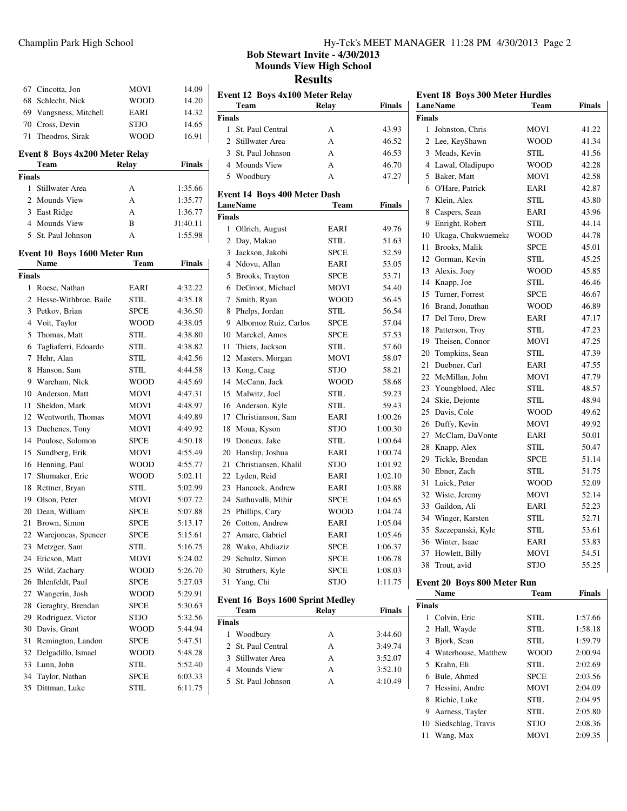|               | 67 Cincotta, Jon                      | MOVI        | 14.09         |
|---------------|---------------------------------------|-------------|---------------|
|               | 68 Schlecht, Nick                     | <b>WOOD</b> | 14.20         |
|               | 69 Vangsness, Mitchell                | EARI        | 14.32         |
|               | 70 Cross, Devin                       | <b>STJO</b> | 14.65         |
| 71            | Theodros, Sirak                       | <b>WOOD</b> | 16.91         |
|               | <b>Event 8 Boys 4x200 Meter Relay</b> |             |               |
|               | Team                                  | Relay       | <b>Finals</b> |
| <b>Finals</b> |                                       |             |               |
|               | 1 Stillwater Area                     | A           | 1:35.66       |
|               | 2 Mounds View                         | A           | 1:35.77       |
|               | 3 East Ridge                          | A           | 1:36.77       |
|               | 4 Mounds View                         | B           | J1:40.11      |
|               | 5 St. Paul Johnson                    | A           | 1:55.98       |
|               | Event 10 Boys 1600 Meter Run          |             |               |
|               | Name                                  | Team        | <b>Finals</b> |
| <b>Finals</b> |                                       |             |               |
|               | 1 Roese, Nathan                       | EARI        | 4:32.22       |
|               | 2 Hesse-Withbroe, Baile               | STIL        | 4:35.18       |
|               | 3 Petkov, Brian                       | <b>SPCE</b> | 4:36.50       |
|               | 4 Voit, Taylor                        | <b>WOOD</b> | 4:38.05       |
|               | 5 Thomas, Matt                        | <b>STIL</b> | 4:38.80       |
|               | 6 Tagliaferri, Edoardo                | <b>STIL</b> | 4:38.82       |
| $7^{\circ}$   | Hehr, Alan                            | STIL        | 4:42.56       |
| 8             | Hanson, Sam                           | <b>STIL</b> | 4:44.58       |
|               | 9 Wareham, Nick                       | <b>WOOD</b> | 4:45.69       |
|               | 10 Anderson, Matt                     | MOVI        | 4:47.31       |
| 11.           | Sheldon, Mark                         | MOVI        | 4:48.97       |
|               | 12 Wentworth, Thomas                  | MOVI        | 4:49.89       |
| 13            | Duchenes, Tony                        | MOVI        | 4:49.92       |
| 14            | Poulose, Solomon                      | <b>SPCE</b> | 4:50.18       |
| 15            | Sundberg, Erik                        | MOVI        | 4:55.49       |
| 16            | Henning, Paul                         | <b>WOOD</b> | 4:55.77       |
| 17            | Shumaker, Eric                        | <b>WOOD</b> | 5:02.11       |
| 18            | Rettner, Bryan                        | <b>STIL</b> | 5:02.99       |
|               | 19 Olson, Peter                       | MOVI        | 5:07.72       |
| 20            | Dean, William                         | <b>SPCE</b> | 5:07.88       |
| 21            | Brown, Simon                          | <b>SPCE</b> | 5:13.17       |
| 22            | Warejoncas, Spencer                   | <b>SPCE</b> | 5:15.61       |
| 23            | Metzger, Sam                          | STIL        | 5:16.75       |
| 24            | Ericson, Matt                         | <b>MOVI</b> | 5:24.02       |
|               | Wild, Zachary                         |             |               |
| 25            |                                       | WOOD        | 5:26.70       |
| 26            | Ihlenfeldt, Paul                      | <b>SPCE</b> | 5:27.03       |
| 27            | Wangerin, Josh                        | <b>WOOD</b> | 5:29.91       |
| 28            | Geraghty, Brendan                     | <b>SPCE</b> | 5:30.63       |
| 29            | Rodriguez, Victor                     | STJO        | 5:32.56       |
| 30            | Davis, Grant                          | WOOD        | 5:44.94       |
| 31            | Remington, Landon                     | <b>SPCE</b> | 5:47.51       |
| 32            | Delgadillo, Ismael                    | WOOD        | 5:48.28       |
| 33            | Lunn, John                            | <b>STIL</b> | 5:52.40       |
| 34            | Taylor, Nathan                        | <b>SPCE</b> | 6:03.33       |
| 35            | Dittman, Luke                         | STIL        | 6:11.75       |

### Champlin Park High School Hy-Tek's MEET MANAGER 11:28 PM 4/30/2013 Page 2

**Bob Stewart Invite - 4/30/2013 Mounds View High School Results**

| Event 12 Boys 4x100 Meter Relay |                                     |              |               |  |  |  |
|---------------------------------|-------------------------------------|--------------|---------------|--|--|--|
|                                 | Team                                | <b>Relay</b> | <b>Finals</b> |  |  |  |
| <b>Finals</b>                   |                                     |              |               |  |  |  |
| $\mathbf{1}$                    | St. Paul Central                    | А            | 43.93         |  |  |  |
| $\overline{2}$                  | Stillwater Area                     | A            | 46.52         |  |  |  |
| 3                               | St. Paul Johnson                    | A            | 46.53         |  |  |  |
|                                 | 4 Mounds View                       | A            | 46.70         |  |  |  |
| 5                               | Woodbury                            | A            | 47.27         |  |  |  |
|                                 |                                     |              |               |  |  |  |
|                                 | <b>Event 14 Boys 400 Meter Dash</b> |              | <b>Finals</b> |  |  |  |
|                                 | <b>LaneName</b>                     | Team         |               |  |  |  |
| <b>Finals</b>                   |                                     |              | 49.76         |  |  |  |
| 1                               | Ollrich, August                     | EARI         |               |  |  |  |
| 2                               | Day, Makao                          | STIL         | 51.63         |  |  |  |
| 3                               | Jackson, Jakobi                     | <b>SPCE</b>  | 52.59         |  |  |  |
| $\overline{4}$                  | Ndovu, Allan                        | EARI         | 53.05         |  |  |  |
| 5                               | Brooks, Trayton                     | <b>SPCE</b>  | 53.71         |  |  |  |
| 6                               | DeGroot, Michael                    | MOVI         | 54.40         |  |  |  |
| 7                               | Smith, Ryan                         | <b>WOOD</b>  | 56.45         |  |  |  |
| 8                               | Phelps, Jordan                      | STIL         | 56.54         |  |  |  |
| 9                               | Albornoz Ruiz, Carlos               | <b>SPCE</b>  | 57.04         |  |  |  |
| 10                              | Marckel, Amos                       | <b>SPCE</b>  | 57.53         |  |  |  |
| 11                              | Thiets, Jackson                     | <b>STIL</b>  | 57.60         |  |  |  |
| 12                              | Masters, Morgan                     | MOVI         | 58.07         |  |  |  |
| 13                              | Kong, Caag                          | STJO         | 58.21         |  |  |  |
|                                 | 14 McCann, Jack                     | WOOD         | 58.68         |  |  |  |
|                                 | 15 Malwitz, Joel                    | STIL         | 59.23         |  |  |  |
| 16                              | Anderson, Kyle                      | STIL         | 59.43         |  |  |  |
| 17                              | Christianson, Sam                   | EARI         | 1:00.26       |  |  |  |
| 18                              | Moua, Kyson                         | STJO         | 1:00.30       |  |  |  |
| 19                              | Doneux, Jake                        | STIL         | 1:00.64       |  |  |  |
| 20                              | Hanslip, Joshua                     | EARI         | 1:00.74       |  |  |  |
| 21                              | Christiansen, Khalil                | STJO         | 1:01.92       |  |  |  |
| 22                              | Lyden, Reid                         | EARI         | 1:02.10       |  |  |  |
| 23                              | Hancock, Andrew                     | EARI         | 1:03.88       |  |  |  |
| 24                              | Sathuvalli, Mihir                   | <b>SPCE</b>  | 1:04.65       |  |  |  |
|                                 | 25 Phillips, Cary                   | <b>WOOD</b>  | 1:04.74       |  |  |  |
|                                 | 26 Cotton, Andrew                   | EARI         | 1:05.04       |  |  |  |
| 27                              | Amare, Gabriel                      | EARI         | 1:05.46       |  |  |  |
|                                 | 28 Wako, Abdiaziz                   | SPCE         | 1:06.37       |  |  |  |
| 29                              | Schultz, Simon                      | <b>SPCE</b>  | 1:06.78       |  |  |  |
| 30                              | Struthers, Kyle                     | <b>SPCE</b>  | 1:08.03       |  |  |  |
| 31                              | Yang, Chi                           | STJO         | 1:11.75       |  |  |  |
|                                 |                                     |              |               |  |  |  |
|                                 | Event 16 Boys 1600 Sprint Medley    |              |               |  |  |  |
|                                 | Team                                | Relay        | Finals        |  |  |  |
| Finals                          |                                     |              |               |  |  |  |
| 1                               | Woodbury                            | А            | 3:44.60       |  |  |  |
| 2                               | St. Paul Central                    | А            | 3:49.74       |  |  |  |
| 3                               | Stillwater Area                     | А            | 3:52.07       |  |  |  |
|                                 | 4 Mounds View                       | А            | 3:52.10       |  |  |  |

St. Paul Johnson A 4:10.49

| <b>Event 18 Boys 300 Meter Hurdles</b><br><b>LaneName</b> | Team        | Finals        |
|-----------------------------------------------------------|-------------|---------------|
| <b>Finals</b>                                             |             |               |
| 1<br>Johnston, Chris                                      | MOVI        | 41.22         |
| 2 Lee, KeyShawn                                           | <b>WOOD</b> | 41.34         |
| 3 Meads, Kevin                                            | <b>STIL</b> | 41.56         |
| 4 Lawal, Oladipupo                                        | <b>WOOD</b> | 42.28         |
| 5 Baker, Matt                                             | MOVI        | 42.58         |
| 6 O'Hare, Patrick                                         | EARI        | 42.87         |
| 7 Klein, Alex                                             | <b>STIL</b> | 43.80         |
| 8 Caspers, Sean                                           | EARI        | 43.96         |
| 9<br>Enright, Robert                                      | <b>STIL</b> | 44.14         |
| 10 Ukaga, Chukwuemeka                                     | <b>WOOD</b> | 44.78         |
| 11 Brooks, Malik                                          | <b>SPCE</b> | 45.01         |
| 12 Gorman, Kevin                                          | <b>STIL</b> | 45.25         |
| 13 Alexis, Joey                                           | <b>WOOD</b> | 45.85         |
| 14 Knapp, Joe                                             | <b>STIL</b> | 46.46         |
| 15 Turner, Forrest                                        | <b>SPCE</b> | 46.67         |
| Brand, Jonathan<br>16                                     | <b>WOOD</b> | 46.89         |
| 17 Del Toro, Drew                                         | EARI        | 47.17         |
| 18<br>Patterson, Troy                                     | <b>STIL</b> | 47.23         |
| 19 Theisen, Connor                                        | <b>MOVI</b> | 47.25         |
| 20 Tompkins, Sean                                         | <b>STIL</b> | 47.39         |
| 21<br>Duebner, Carl                                       | EARI        | 47.55         |
| 22 McMillan, John                                         | MOVI        | 47.79         |
| 23 Youngblood, Alec                                       | <b>STIL</b> | 48.57         |
| 24 Skie, Dejonte                                          | <b>STIL</b> | 48.94         |
| 25<br>Davis, Cole                                         | <b>WOOD</b> | 49.62         |
| 26<br>Duffy, Kevin                                        | <b>MOVI</b> | 49.92         |
| 27<br>McClam, DaVonte                                     | EARI        | 50.01         |
| 28<br>Knapp, Alex                                         | <b>STIL</b> | 50.47         |
| 29<br>Tickle, Brendan                                     | <b>SPCE</b> | 51.14         |
| Ebner, Zach<br>30                                         | <b>STIL</b> | 51.75         |
| Luick, Peter<br>31                                        | <b>WOOD</b> | 52.09         |
| 32<br>Wiste, Jeremy                                       | <b>MOVI</b> | 52.14         |
| 33 Gaildon, Ali                                           | EARI        | 52.23         |
| Winger, Karsten<br>34                                     | <b>STIL</b> | 52.71         |
| 35<br>Szczepanski, Kyle                                   | <b>STIL</b> | 53.61         |
| 36<br>Winter, Isaac                                       | EARI        | 53.83         |
| 37<br>Howlett, Billy                                      | <b>MOVI</b> | 54.51         |
| 38<br>Trout, avid                                         | <b>STJO</b> | 55.25         |
| <b>Event 20 Boys 800 Meter Run</b>                        |             |               |
| <b>Name</b>                                               | <b>Team</b> | <b>Finals</b> |

|               | .                     | .           | .       |
|---------------|-----------------------|-------------|---------|
| <b>Finals</b> |                       |             |         |
|               | 1 Colvin, Eric        | STIL.       | 1:57.66 |
|               | 2 Hall, Wayde         | STIL.       | 1:58.18 |
| 3             | Bjork, Sean           | STIL.       | 1:59.79 |
|               | 4 Waterhouse, Matthew | WOOD        | 2:00.94 |
|               | 5 Krahn, Eli          | STIL.       | 2:02.69 |
|               | 6 Bule, Ahmed         | <b>SPCE</b> | 2:03.56 |
|               | 7 Hessini, Andre      | <b>MOVI</b> | 2:04.09 |
| 8             | Richie, Luke          | STIL.       | 2:04.95 |
| 9             | Aarness, Tayler       | STIL.       | 2:05.80 |
|               | 10 Siedschlag, Travis | <b>STJO</b> | 2:08.36 |
| 11            | Wang, Max             | <b>MOVI</b> | 2:09.35 |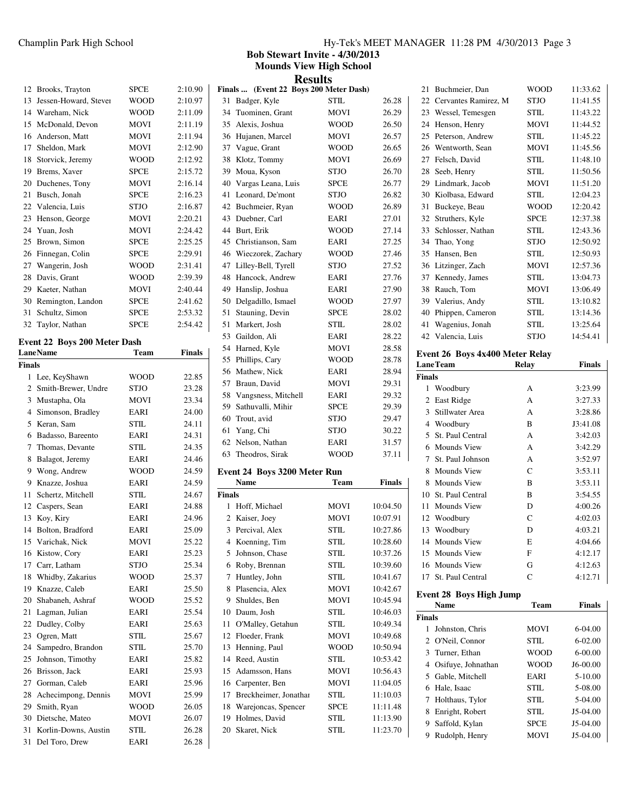| 12 | Brooks, Trayton       | <b>SPCE</b> | 2:10.90 |
|----|-----------------------|-------------|---------|
| 13 | Jessen-Howard, Stever | <b>WOOD</b> | 2:10.97 |
| 14 | Wareham, Nick         | <b>WOOD</b> | 2:11.09 |
| 15 | McDonald, Devon       | <b>MOVI</b> | 2:11.19 |
| 16 | Anderson, Matt        | <b>MOVI</b> | 2:11.94 |
| 17 | Sheldon, Mark         | <b>MOVI</b> | 2:12.90 |
| 18 | Storvick, Jeremy      | <b>WOOD</b> | 2:12.92 |
| 19 | Brems, Xaver          | <b>SPCE</b> | 2:15.72 |
| 20 | Duchenes, Tony        | <b>MOVI</b> | 2:16.14 |
| 21 | Busch, Jonah          | <b>SPCE</b> | 2:16.23 |
| 22 | Valencia, Luis        | <b>STJO</b> | 2:16.87 |
| 23 | Henson, George        | <b>MOVI</b> | 2:20.21 |
| 24 | Yuan, Josh            | <b>MOVI</b> | 2:24.42 |
| 25 | Brown, Simon          | <b>SPCE</b> | 2:25.25 |
| 26 | Finnegan, Colin       | <b>SPCE</b> | 2:29.91 |
| 27 | Wangerin, Josh        | <b>WOOD</b> | 2:31.41 |
| 28 | Davis, Grant          | <b>WOOD</b> | 2:39.39 |
| 29 | Kaeter, Nathan        | <b>MOVI</b> | 2:40.44 |
| 30 | Remington, Landon     | <b>SPCE</b> | 2:41.62 |
| 31 | Schultz, Simon        | <b>SPCE</b> | 2:53.32 |
| 32 | Taylor, Nathan        | <b>SPCE</b> | 2:54.42 |

# **Event 22 Boys 200 Meter Dash**

| LaneName      |                      | <b>Team</b> | <b>Finals</b> |
|---------------|----------------------|-------------|---------------|
| <b>Finals</b> |                      |             |               |
|               | 1 Lee, KeyShawn      | <b>WOOD</b> | 22.85         |
| 2             | Smith-Brewer, Undre  | <b>STJO</b> | 23.28         |
| 3             | Mustapha, Ola        | <b>MOVI</b> | 23.34         |
| 4             | Simonson, Bradley    | EARI        | 24.00         |
| 5             | Keran, Sam           | <b>STIL</b> | 24.11         |
| 6             | Badasso, Bareento    | <b>EARI</b> | 24.31         |
| 7             | Thomas, Devante      | STIL        | 24.35         |
| 8             | Balagot, Jeremy      | EARI        | 24.46         |
| 9             | Wong, Andrew         | <b>WOOD</b> | 24.59         |
| 9             | Knazze, Joshua       | EARI        | 24.59         |
| 11            | Schertz, Mitchell    | <b>STIL</b> | 24.67         |
|               | 12 Caspers, Sean     | EARI        | 24.88         |
| 13            | Koy, Kiry            | EARI        | 24.96         |
|               | 14 Bolton, Bradford  | EARI        | 25.09         |
|               | 15 Varichak, Nick    | <b>MOVI</b> | 25.22         |
| 16            | Kistow, Cory         | EARI        | 25.23         |
|               | 17 Carr, Latham      | <b>STJO</b> | 25.34         |
| 18            | Whidby, Zakarius     | <b>WOOD</b> | 25.37         |
|               | 19 Knazze, Caleb     | EARI        | 25.50         |
|               | 20 Shabaneh, Ashraf  | <b>WOOD</b> | 25.52         |
|               | 21 Lagman, Julian    | EARI        | 25.54         |
|               | 22 Dudley, Colby     | EARI        | 25.63         |
| 23            | Ogren, Matt          | <b>STIL</b> | 25.67         |
| 24            | Sampedro, Brandon    | <b>STIL</b> | 25.70         |
|               | 25 Johnson, Timothy  | EARI        | 25.82         |
| 26            | Brisson, Jack        | EARI        | 25.93         |
|               | 27 Gorman, Caleb     | EARI        | 25.96         |
| 28            | Achecimpong, Dennis  | <b>MOVI</b> | 25.99         |
| 29            | Smith, Ryan          | <b>WOOD</b> | 26.05         |
| 30            | Dietsche, Mateo      | <b>MOVI</b> | 26.07         |
| 31            | Korlin-Downs, Austin | STIL        | 26.28         |
| 31            | Del Toro, Drew       | EARI        | 26.28         |

| Hy-Tek's MEET MANAGER 11:28 PM 4/30/2013 Page 3 |  |  |  |
|-------------------------------------------------|--|--|--|
|-------------------------------------------------|--|--|--|

**Bob Stewart Invite - 4/30/2013 Mounds View High School**

|               | <b>Results</b>                         |                 |          |               |                                 |              |               |
|---------------|----------------------------------------|-----------------|----------|---------------|---------------------------------|--------------|---------------|
|               | Finals  (Event 22 Boys 200 Meter Dash) |                 |          |               | 21 Buchmeier, Dan               | <b>WOOD</b>  | 11:33.62      |
|               | 31 Badger, Kyle                        | <b>STIL</b>     | 26.28    |               | 22 Cervantes Ramirez, M         | <b>STJO</b>  | 11:41.55      |
|               | 34 Tuominen, Grant                     | MOVI            | 26.29    |               | 23 Wessel, Temesgen             | STIL         | 11:43.22      |
|               | 35 Alexis, Joshua                      | WOOD            | 26.50    |               | 24 Henson, Henry                | MOVI         | 11:44.52      |
|               | 36 Hujanen, Marcel                     | MOVI            | 26.57    |               | 25 Peterson, Andrew             | STIL         | 11:45.22      |
|               | 37 Vague, Grant                        | WOOD            | 26.65    |               | 26 Wentworth, Sean              | MOVI         | 11:45.56      |
|               | 38 Klotz, Tommy                        | MOVI            | 26.69    |               | 27 Felsch, David                | STIL         | 11:48.10      |
| 39            | Moua, Kyson                            | STJO            | 26.70    |               | 28 Seeb, Henry                  | STIL         | 11:50.56      |
|               | 40 Vargas Leana, Luis                  | <b>SPCE</b>     | 26.77    |               | 29 Lindmark, Jacob              | <b>MOVI</b>  | 11:51.20      |
|               | 41 Leonard, De'mont                    | STJO            | 26.82    |               | 30 Kiolbasa, Edward             | STIL         | 12:04.23      |
|               | 42 Buchmeier, Ryan                     | <b>WOOD</b>     | 26.89    |               | 31 Buckeye, Beau                | <b>WOOD</b>  | 12:20.42      |
|               | 43 Duebner, Carl                       | EARI            | 27.01    |               | 32 Struthers, Kyle              | <b>SPCE</b>  | 12:37.38      |
|               | 44 Burt, Erik                          | WOOD            | 27.14    | 33            | Schlosser, Nathan               | STIL         | 12:43.36      |
|               | 45 Christianson, Sam                   | EARI            | 27.25    |               | 34 Thao, Yong                   | <b>STJO</b>  | 12:50.92      |
|               | 46 Wieczorek, Zachary                  | WOOD            | 27.46    |               | 35 Hansen, Ben                  | <b>STIL</b>  | 12:50.93      |
|               | 47 Lilley-Bell, Tyrell                 | STJO            | 27.52    |               | 36 Litzinger, Zach              | MOVI         | 12:57.36      |
|               | 48 Hancock, Andrew                     | EARI            | 27.76    |               | 37 Kennedy, James               | STIL         | 13:04.73      |
| 49            | Hanslip, Joshua                        | EARI            | 27.90    |               | 38 Rauch, Tom                   | MOVI         | 13:06.49      |
|               | 50 Delgadillo, Ismael                  | WOOD            | 27.97    |               | 39 Valerius, Andy               | STIL         | 13:10.82      |
|               | 51 Stauning, Devin                     | <b>SPCE</b>     | 28.02    |               | 40 Phippen, Cameron             | STIL         | 13:14.36      |
|               | 51 Markert, Josh                       | STIL            | 28.02    |               | 41 Wagenius, Jonah              | <b>STIL</b>  | 13:25.64      |
|               | 53 Gaildon, Ali                        | EARI            | 28.22    |               | 42 Valencia, Luis               | <b>STJO</b>  | 14:54.41      |
|               | 54 Harned, Kyle                        | MOVI            | 28.58    |               | Event 26 Boys 4x400 Meter Relay |              |               |
|               | 55 Phillips, Cary                      | WOOD            | 28.78    |               | <b>LaneTeam</b>                 | Relay        | Finals        |
|               | 56 Mathew, Nick                        | EARI            | 28.94    | <b>Finals</b> |                                 |              |               |
|               | 57 Braun, David                        | MOVI            | 29.31    |               | 1 Woodbury                      | A            | 3:23.99       |
| 58            | Vangsness, Mitchell                    | EARI            | 29.32    |               | 2 East Ridge                    | A            | 3:27.33       |
|               | 59 Sathuvalli, Mihir                   | SPCE            | 29.39    | 3             | Stillwater Area                 | A            | 3:28.86       |
|               | 60 Trout, avid                         | <b>STJO</b>     | 29.47    |               | 4 Woodbury                      | B            | J3:41.08      |
| 61            | Yang, Chi                              | STJO            | 30.22    |               | 5 St. Paul Central              | A            | 3:42.03       |
|               | 62 Nelson, Nathan                      | EARI            | 31.57    |               | 6 Mounds View                   | A            | 3:42.29       |
| 63            | Theodros, Sirak                        | WOOD            | 37.11    | 7             | St. Paul Johnson                | A            | 3:52.97       |
|               | Event 24 Boys 3200 Meter Run           |                 |          | 8             | <b>Mounds View</b>              | $\mathsf{C}$ | 3:53.11       |
|               | <b>Name</b>                            | <b>Team</b>     | Finals   | 8             | Mounds View                     | B            | 3:53.11       |
| <b>Finals</b> |                                        |                 |          | 10            | St. Paul Central                | B            | 3:54.55       |
|               | 1 Hoff, Michael                        | MOVI            | 10:04.50 | 11            | <b>Mounds View</b>              | D            | 4:00.26       |
|               | 2 Kaiser, Joey                         | MOVI            | 10:07.91 |               | 12 Woodbury                     | C            | 4:02.03       |
|               | 3 Percival, Alex                       | <b>STIL</b>     | 10:27.86 |               | 13 Woodbury                     | D            | 4:03.21       |
|               | 4 Koenning, Tim                        | <b>STIL</b>     | 10:28.60 |               | 14 Mounds View                  | E            | 4:04.66       |
| 5             | Johnson, Chase                         | $\text{STIL}{}$ | 10:37.26 |               | 15 Mounds View                  | F            | 4:12.17       |
|               | 6 Roby, Brennan                        | $\text{STIL}{}$ | 10:39.60 |               | 16 Mounds View                  | G            | 4:12.63       |
|               | 7 Huntley, John                        | <b>STIL</b>     | 10:41.67 |               | 17 St. Paul Central             | C            | 4:12.71       |
|               | 8 Plasencia, Alex                      | MOVI            | 10:42.67 |               | <b>Event 28 Boys High Jump</b>  |              |               |
| 9             | Shuldes, Ben                           | MOVI            | 10:45.94 |               | Name                            | <b>Team</b>  | <b>Finals</b> |
|               | 10 Daum, Josh                          | <b>STIL</b>     | 10:46.03 | <b>Finals</b> |                                 |              |               |
| 11            | O'Malley, Getahun                      | <b>STIL</b>     | 10:49.34 |               | 1 Johnston, Chris               | MOVI         | 6-04.00       |
|               | 12 Floeder, Frank                      | MOVI            | 10:49.68 |               | 2 O'Neil, Connor                | ${\it STIL}$ | $6 - 02.00$   |
|               | 13 Henning, Paul                       | <b>WOOD</b>     | 10:50.94 | 3             | Turner, Ethan                   | <b>WOOD</b>  | $6 - 00.00$   |
|               | 14 Reed, Austin                        | <b>STIL</b>     | 10:53.42 | 4             | Osifuye, Johnathan              | <b>WOOD</b>  | J6-00.00      |
| 15            | Adamsson, Hans                         | MOVI            | 10:56.43 | 5             | Gable, Mitchell                 | EARI         | 5-10.00       |
|               | 16 Carpenter, Ben                      | MOVI            | 11:04.05 |               | 6 Hale, Isaac                   | <b>STIL</b>  | 5-08.00       |
| 17            | Breckheimer, Jonathar                  | <b>STIL</b>     | 11:10.03 |               | 7 Holthaus, Tylor               | ${\it STIL}$ | 5-04.00       |
|               | 18 Warejoncas, Spencer                 | <b>SPCE</b>     | 11:11.48 |               | 8 Enright, Robert               | <b>STIL</b>  | J5-04.00      |
| 19            | Holmes, David                          | <b>STIL</b>     | 11:13.90 |               | 9 Saffold, Kylan                | <b>SPCE</b>  | J5-04.00      |
|               | 20 Skaret, Nick                        | STIL            | 11:23.70 |               | 9 Rudolph, Henry                | MOVI         | J5-04.00      |

| 25                                                                           | Peterson, Andrew   | <b>STIL</b>    | 11:45.22 |  |  |
|------------------------------------------------------------------------------|--------------------|----------------|----------|--|--|
| 26                                                                           | Wentworth, Sean    | <b>MOVI</b>    | 11:45.56 |  |  |
| 27                                                                           | Felsch, David      | <b>STIL</b>    | 11:48.10 |  |  |
| 28                                                                           | Seeb, Henry        | <b>STIL</b>    | 11:50.56 |  |  |
| 29                                                                           | Lindmark, Jacob    | <b>MOVI</b>    | 11:51.20 |  |  |
| 30                                                                           | Kiolbasa, Edward   | <b>STIL</b>    | 12:04.23 |  |  |
| 31                                                                           | Buckeye, Beau      | <b>WOOD</b>    | 12:20.42 |  |  |
| 32                                                                           | Struthers, Kyle    | <b>SPCE</b>    | 12:37.38 |  |  |
| 33                                                                           | Schlosser, Nathan  | <b>STIL</b>    | 12:43.36 |  |  |
| 34                                                                           | Thao, Yong         | <b>STJO</b>    | 12:50.92 |  |  |
| 35                                                                           | Hansen, Ben        | STIL           | 12:50.93 |  |  |
| 36                                                                           | Litzinger, Zach    | MOVI           | 12:57.36 |  |  |
| 37                                                                           | Kennedy, James     | <b>STIL</b>    | 13:04.73 |  |  |
| 38                                                                           | Rauch, Tom         | <b>MOVI</b>    | 13:06.49 |  |  |
| 39                                                                           | Valerius, Andy     | <b>STIL</b>    | 13:10.82 |  |  |
| 40                                                                           | Phippen, Cameron   | <b>STIL</b>    | 13:14.36 |  |  |
| 41                                                                           | Wagenius, Jonah    | <b>STIL</b>    | 13:25.64 |  |  |
| 42                                                                           | Valencia, Luis     | <b>STJO</b>    | 14:54.41 |  |  |
|                                                                              |                    |                |          |  |  |
| Event 26 Boys 4x400 Meter Relay<br><b>LaneTeam</b><br>Relay<br><b>Finals</b> |                    |                |          |  |  |
|                                                                              |                    |                |          |  |  |
| <b>Finals</b>                                                                |                    |                |          |  |  |
| 1                                                                            | Woodbury           | А              | 3:23.99  |  |  |
| $\overline{c}$                                                               | East Ridge         | A              | 3:27.33  |  |  |
| 3                                                                            | Stillwater Area    | A              | 3:28.86  |  |  |
|                                                                              | 4 Woodbury         | B              | J3:41.08 |  |  |
| 5                                                                            | St. Paul Central   | A              | 3:42.03  |  |  |
| 6                                                                            | <b>Mounds View</b> | A              | 3:42.29  |  |  |
| 7                                                                            | St. Paul Johnson   | A              | 3:52.97  |  |  |
| 8                                                                            | <b>Mounds View</b> | $\overline{C}$ | 3:53.11  |  |  |
| 8                                                                            | Mounds View        | B              | 3:53.11  |  |  |
| 10                                                                           | St. Paul Central   | B              | 3:54.55  |  |  |
| 11                                                                           | Mounds View        | D              | 4:00.26  |  |  |
| 12                                                                           | Woodbury           | $\mathsf{C}$   | 4:02.03  |  |  |
| 13                                                                           | Woodbury           | D              | 4:03.21  |  |  |
| 14                                                                           | <b>Mounds View</b> | E              | 4:04.66  |  |  |
| 15                                                                           | <b>Mounds View</b> | F              | 4:12.17  |  |  |
| 16                                                                           | <b>Mounds View</b> | G              | 4:12.63  |  |  |
| 17                                                                           | St. Paul Central   | $\mathbf C$    | 4:12.71  |  |  |

| вусис до поуз нада данир |                      |             |               |  |
|--------------------------|----------------------|-------------|---------------|--|
|                          | <b>Name</b>          | <b>Team</b> | <b>Finals</b> |  |
| Finals                   |                      |             |               |  |
| 1                        | Johnston, Chris      | <b>MOVI</b> | $6-04.00$     |  |
|                          | 2 O'Neil, Connor     | STIL.       | $6-02.00$     |  |
|                          | 3 Turner, Ethan      | WOOD        | $6-00.00$     |  |
|                          | 4 Osifuye, Johnathan | <b>WOOD</b> | J6-00.00      |  |
|                          | 5 Gable, Mitchell    | EARI        | $5 - 10.00$   |  |
|                          | 6 Hale, Isaac        | STIL.       | 5-08.00       |  |
|                          | 7 Holthaus, Tylor    | STIL.       | $5-04.00$     |  |
| 8                        | Enright, Robert      | STIL.       | $J5-04.00$    |  |
| 9                        | Saffold, Kylan       | <b>SPCE</b> | $J5-04.00$    |  |
| 9                        | Rudolph, Henry       | MOVI        | $J5-04.00$    |  |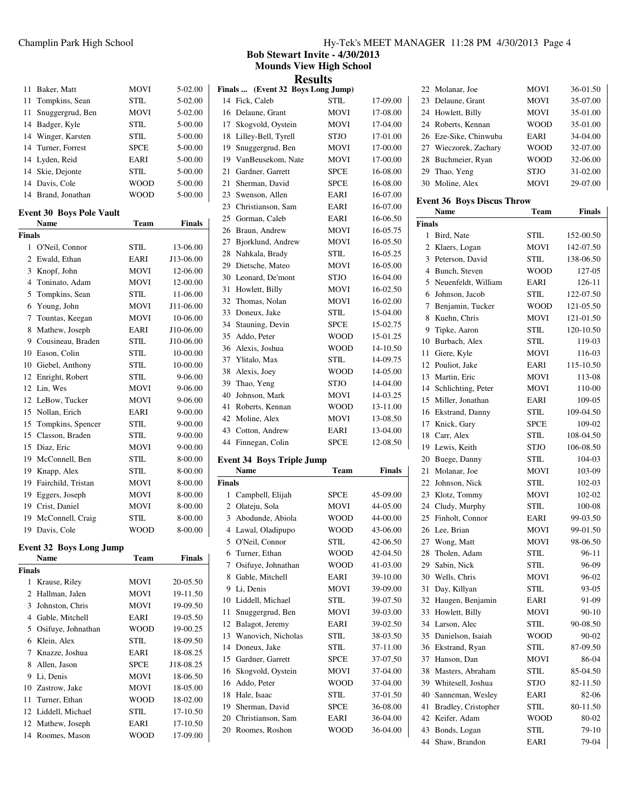|    | 11 Baker, Matt     | <b>MOVI</b> | $5-02.00$ |
|----|--------------------|-------------|-----------|
|    | 11 Tompkins, Sean  | STIL.       | 5-02.00   |
| 11 | Snuggergrud, Ben   | <b>MOVI</b> | $5-02.00$ |
|    | 14 Badger, Kyle    | STIL.       | 5-00.00   |
|    | 14 Winger, Karsten | STIL.       | 5-00.00   |
|    | 14 Turner, Forrest | <b>SPCE</b> | 5-00.00   |
|    | 14 Lyden, Reid     | EARI        | 5-00.00   |
|    | 14 Skie, Dejonte   | STIL.       | 5-00.00   |
|    | 14 Davis, Cole     | <b>WOOD</b> | 5-00.00   |
|    | 14 Brand, Jonathan | WOOD        | 5-00.00   |

## **Event 30 Boys Pole Vault**

|                | Name               | Team        | <b>Finals</b> |
|----------------|--------------------|-------------|---------------|
| <b>Finals</b>  |                    |             |               |
| 1              | O'Neil, Connor     | STIL.       | 13-06.00      |
| $\overline{c}$ | Ewald, Ethan       | EARI        | J13-06.00     |
| 3              | Knopf, John        | <b>MOVI</b> | 12-06.00      |
| $\overline{4}$ | Toninato, Adam     | <b>MOVI</b> | 12-00.00      |
| 5              | Tompkins, Sean     | STIL.       | 11-06.00      |
| 6              | Young, John        | <b>MOVI</b> | J11-06.00     |
| 7              | Tountas, Keegan    | <b>MOVI</b> | 10-06.00      |
| 8              | Mathew, Joseph     | EARI        | J10-06.00     |
| 9              | Cousineau, Braden  | STIL.       | J10-06.00     |
| 10             | Eason, Colin       | STIL.       | 10-00.00      |
| 10             | Giebel, Anthony    | STIL.       | 10-00.00      |
| 12             | Enright, Robert    | STIL.       | 9-06.00       |
| 12             | Lin, Wes           | <b>MOVI</b> | 9-06.00       |
| 12             | LeBow, Tucker      | <b>MOVI</b> | 9-06.00       |
| 15             | Nollan, Erich      | EARI        | 9-00.00       |
| 15             | Tompkins, Spencer  | STIL.       | $9 - 00.00$   |
|                | 15 Classon, Braden | STIL.       | $9 - 00.00$   |
| 15             | Diaz, Eric         | <b>MOVI</b> | 9-00.00       |
| 19             | McConnell, Ben     | STIL.       | 8-00.00       |
| 19             | Knapp, Alex        | STIL.       | 8-00.00       |
| 19             | Fairchild, Tristan | <b>MOVI</b> | 8-00.00       |
| 19             | Eggers, Joseph     | <b>MOVI</b> | 8-00.00       |
| 19             | Crist, Daniel      | <b>MOVI</b> | 8-00.00       |
| 19             | McConnell, Craig   | STIL.       | 8-00.00       |
| 19             | Davis, Cole        | <b>WOOD</b> | 8-00.00       |
|                |                    |             |               |

## **Event 32 Boys Long Jump**

|        | <b>Name</b>         | Team        | Finals    |  |
|--------|---------------------|-------------|-----------|--|
| Finals |                     |             |           |  |
| 1      | Krause, Riley       | <b>MOVI</b> | 20-05.50  |  |
|        | 2 Hallman, Jalen    | <b>MOVI</b> | 19-11.50  |  |
| 3      | Johnston, Chris     | <b>MOVI</b> | 19-09.50  |  |
| 4      | Gable, Mitchell     | EARI        | 19-05.50  |  |
| 5      | Osifuye, Johnathan  | WOOD        | 19-00.25  |  |
| 6      | Klein, Alex         | STIL.       | 18-09.50  |  |
| 7      | Knazze, Joshua      | EARI        | 18-08.25  |  |
| 8      | Allen, Jason        | <b>SPCE</b> | J18-08.25 |  |
| 9      | Li, Denis           | <b>MOVI</b> | 18-06.50  |  |
|        | 10 Zastrow, Jake    | <b>MOVI</b> | 18-05.00  |  |
| 11.    | Turner, Ethan       | WOOD        | 18-02.00  |  |
|        | 12 Liddell, Michael | STIL.       | 17-10.50  |  |
|        | 12 Mathew, Joseph   | EARI        | 17-10.50  |  |
|        | 14 Roomes, Mason    | WOOD        | 17-09.00  |  |

## Champlin Park High School Hy-Tek's MEET MANAGER 11:28 PM 4/30/2013 Page 4

 Molanar, Joe MOVI 36-01.50 23 Delaune, Grant MOVI 35-07.00 Howlett, Billy MOVI 35-01.00 Roberts, Kennan WOOD 35-01.00

**Bob Stewart Invite - 4/30/2013 Mounds View High School**

| <b>Results</b> |                                           |              |                      |
|----------------|-------------------------------------------|--------------|----------------------|
|                | Finals  (Event 32 Boys Long Jump)         |              |                      |
| 14             | Fick, Caleb                               | <b>STIL</b>  | 17-09.00             |
| 16             | Delaune, Grant                            | MOVI         | 17-08.00             |
| 17             | Skogvold, Oystein                         | MOVI         | 17-04.00             |
| 18             | Lilley-Bell, Tyrell                       | <b>STJO</b>  | 17-01.00             |
| 19             | Snuggergrud, Ben                          | <b>MOVI</b>  | 17-00.00             |
| 19             | VanBeusekom, Nate                         | MOVI         | 17-00.00             |
| 21             | Gardner, Garrett                          | <b>SPCE</b>  | 16-08.00             |
| 21             | Sherman, David                            | <b>SPCE</b>  | 16-08.00             |
| 23             | Swenson, Allen                            | EARI         | 16-07.00             |
| 23             | Christianson, Sam                         | EARI         | 16-07.00             |
| 25             | Gorman, Caleb                             | EARI         | 16-06.50             |
| 26             | Braun, Andrew                             | MOVI         | 16-05.75             |
| 27             | Bjorklund, Andrew                         | <b>MOVI</b>  | 16-05.50             |
| 28             | Nahkala, Brady                            | STIL         | 16-05.25             |
| 29             | Dietsche, Mateo                           | MOVI         | 16-05.00             |
| 30             | Leonard, De'mont                          | STJO         | 16-04.00             |
| 31             | Howlett, Billy                            | <b>MOVI</b>  | 16-02.50             |
| 32             | Thomas, Nolan                             | <b>MOVI</b>  | 16-02.00             |
| 33             | Doneux, Jake                              | <b>STIL</b>  | 15-04.00             |
| 34             | Stauning, Devin                           | <b>SPCE</b>  | 15-02.75             |
| 35             | Addo, Peter                               | WOOD         | 15-01.25             |
| 36             | Alexis, Joshua                            | <b>WOOD</b>  | 14-10.50             |
| 37             | Ylitalo, Max                              | <b>STIL</b>  | 14-09.75             |
| 38             | Alexis, Joey                              | <b>WOOD</b>  | 14-05.00             |
| 39             | Thao, Yeng                                | <b>STJO</b>  | 14-04.00             |
| 40             | Johnson, Mark                             | MOVI         | 14-03.25             |
| 41             | Roberts, Kennan                           |              | 13-11.00             |
|                |                                           | WOOD         |                      |
| 42             | Moline, Alex                              | MOVI         | 13-08.50             |
| 43             | Cotton, Andrew                            | EARI         | 13-04.00             |
| 44             | Finnegan, Colin                           | <b>SPCE</b>  | 12-08.50             |
|                |                                           |              |                      |
|                | <b>Event 34 Boys Triple Jump</b>          |              |                      |
|                | Name                                      | Team         | <b>Finals</b>        |
| <b>Finals</b>  |                                           |              |                      |
| 1              | Campbell, Elijah                          | <b>SPCE</b>  | 45-09.00             |
| 2              | Olateju, Sola                             | <b>MOVI</b>  | 44-05.00             |
| 3              | Abodunde, Abiola                          | <b>WOOD</b>  | 44-00.00             |
| $\overline{4}$ | Lawal, Oladipupo                          | <b>WOOD</b>  | 43-06.00             |
|                | 5 O'Neil, Connor                          | STIL         | 42-06.50             |
| 6              | Turner, Ethan                             | WOOD         | 42-04.50             |
| 7              | Osifuye, Johnathan                        | WOOD         | 41-03.00             |
| 8              | Gable, Mitchell                           | EARI         | 39-10.00             |
| 9              | Li, Denis                                 | MOVI         | 39-09.00             |
| 10             | Liddell, Michael                          | <b>STIL</b>  | 39-07.50             |
| 11             | Snuggergrud, Ben                          | MOVI         | 39-03.00             |
| 12             | Balagot, Jeremy                           | EARI         | 39-02.50             |
| 13             | Wanovich, Nicholas                        | STIL         | 38-03.50             |
| 14             | Doneux, Jake                              | <b>STIL</b>  | 37-11.00             |
| 15             | Gardner, Garrett                          | <b>SPCE</b>  | 37-07.50             |
| 16             | Skogvold, Oystein                         | MOVI         | 37-04.00             |
| 16             | Addo, Peter                               | <b>WOOD</b>  | 37-04.00             |
| 18             | Hale, Isaac                               | STIL         | 37-01.50             |
| 19             | Sherman, David                            | <b>SPCE</b>  | 36-08.00             |
|                | 20 Christianson, Sam<br>20 Roomes, Roshon | EARI<br>WOOD | 36-04.00<br>36-04.00 |

| 26             | Eze-Sike, Chinwuba                | EARI        | 34-04.00  |
|----------------|-----------------------------------|-------------|-----------|
|                | 27 Wieczorek, Zachary             | <b>WOOD</b> | 32-07.00  |
| 28             | Buchmeier, Ryan                   | <b>WOOD</b> | 32-06.00  |
| 29             | Thao, Yeng                        | <b>STJO</b> | 31-02.00  |
| 30             | Moline, Alex                      | MOVI        | 29-07.00  |
|                | <b>Event 36 Boys Discus Throw</b> |             |           |
|                | Name                              | Team        | Finals    |
| Finals         |                                   |             |           |
| 1              | Bird, Nate                        | STIL        | 152-00.50 |
| $\overline{c}$ | Klaers, Logan                     | <b>MOVI</b> | 142-07.50 |
| 3              | Peterson, David                   | <b>STIL</b> | 138-06.50 |
| 4              | Bunch, Steven                     | <b>WOOD</b> | 127-05    |
| 5              | Neuenfeldt, William               | EARI        | 126-11    |
| 6              | Johnson, Jacob                    | STIL        | 122-07.50 |
| 7              | Benjamin, Tucker                  | <b>WOOD</b> | 121-05.50 |
| 8              | Kuehn, Chris                      | MOVI        | 121-01.50 |
| 9              | Tipke, Aaron                      | <b>STIL</b> | 120-10.50 |
| 10             | Burbach, Alex                     | <b>STIL</b> | 119-03    |
| 11             | Giere, Kyle                       | MOVI        | 116-03    |
| 12             | Pouliot, Jake                     | EARI        | 115-10.50 |
| 13             | Martin, Eric                      | MOVI        | 113-08    |
| 14             | Schlichting, Peter                | <b>MOVI</b> | 110-00    |
| 15             | Miller, Jonathan                  | EARI        | 109-05    |
| 16             | Ekstrand, Danny                   | <b>STIL</b> | 109-04.50 |
| 17             | Knick, Gary                       | <b>SPCE</b> | 109-02    |
| 18             | Carr, Alex                        | STIL        | 108-04.50 |
| 19             | Lewis, Keith                      | <b>STJO</b> | 106-08.50 |
| 20             | Buege, Danny                      | STIL        | 104-03    |
| 21             | Molanar, Joe                      | MOVI        | 103-09    |
| 22             | Johnson, Nick                     | <b>STIL</b> | 102-03    |
| 23             | Klotz, Tommy                      | <b>MOVI</b> | 102-02    |
| 24             | Cludy, Murphy                     | STIL        | 100-08    |
| 25             | Finholt, Connor                   | EARI        | 99-03.50  |
| 26             | Lee, Brian                        | MOVI        | 99-01.50  |
| 27             | Wong, Matt                        | <b>MOVI</b> | 98-06.50  |
| 28             | Tholen, Adam                      | <b>STIL</b> | $96 - 11$ |
| 29             | Sabin, Nick                       | <b>STIL</b> | 96-09     |
| 30             | Wells, Chris                      | <b>MOVI</b> | 96-02     |
| 31             | Day, Killyan                      | STIL        | 93-05     |
| 32             | Haugen, Benjamin                  | EARI        | 91-09     |
| 33             | Howlett, Billy                    | MOVI        | 90-10     |
| 34             | Larson, Alec                      | STIL        | 90-08.50  |
| 35             | Danielson, Isaiah                 | WOOD        | 90-02     |
| 36             | Ekstrand, Ryan                    | STIL        | 87-09.50  |
| 37             | Hanson, Dan                       | <b>MOVI</b> | 86-04     |
| 38             | Masters, Abraham                  | STIL        | 85-04.50  |
| 39             | Whitesell, Joshua                 | STJO        | 82-11.50  |
| 40             | Sanneman, Wesley                  | EARI        | 82-06     |
| 41             | Bradley, Cristopher               | STIL        | 80-11.50  |
| 42             | Keifer, Adam                      | WOOD        | 80-02     |
| 43             | Bonds, Logan                      | STIL        | 79-10     |
| 44             | Shaw, Brandon                     | EARI        | 79-04     |